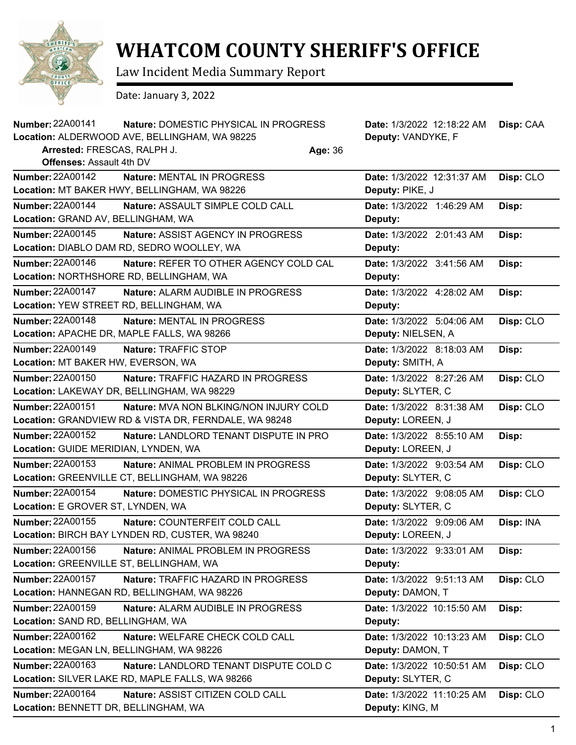

## **WHATCOM COUNTY SHERIFF'S OFFICE**

Law Incident Media Summary Report

Date: January 3, 2022

| <b>Number: 22A00141</b>                  | Nature: DOMESTIC PHYSICAL IN PROGRESS                 |         | Date: 1/3/2022 12:18:22 AM | Disp: CAA |
|------------------------------------------|-------------------------------------------------------|---------|----------------------------|-----------|
|                                          | Location: ALDERWOOD AVE, BELLINGHAM, WA 98225         |         | Deputy: VANDYKE, F         |           |
| Arrested: FRESCAS, RALPH J.              |                                                       | Age: 36 |                            |           |
| <b>Offenses: Assault 4th DV</b>          |                                                       |         |                            |           |
| <b>Number: 22A00142</b>                  | <b>Nature: MENTAL IN PROGRESS</b>                     |         | Date: 1/3/2022 12:31:37 AM | Disp: CLO |
|                                          | Location: MT BAKER HWY, BELLINGHAM, WA 98226          |         | Deputy: PIKE, J            |           |
| <b>Number: 22A00144</b>                  | Nature: ASSAULT SIMPLE COLD CALL                      |         | Date: 1/3/2022 1:46:29 AM  | Disp:     |
| Location: GRAND AV, BELLINGHAM, WA       |                                                       |         | Deputy:                    |           |
| <b>Number: 22A00145</b>                  | Nature: ASSIST AGENCY IN PROGRESS                     |         | Date: 1/3/2022 2:01:43 AM  | Disp:     |
|                                          | Location: DIABLO DAM RD, SEDRO WOOLLEY, WA            |         | Deputy:                    |           |
| Number: 22A00146                         | Nature: REFER TO OTHER AGENCY COLD CAL                |         | Date: 1/3/2022 3:41:56 AM  | Disp:     |
|                                          | Location: NORTHSHORE RD, BELLINGHAM, WA               |         | Deputy:                    |           |
| <b>Number: 22A00147</b>                  | Nature: ALARM AUDIBLE IN PROGRESS                     |         | Date: 1/3/2022 4:28:02 AM  | Disp:     |
| Location: YEW STREET RD, BELLINGHAM, WA  |                                                       |         | Deputy:                    |           |
| <b>Number: 22A00148</b>                  | Nature: MENTAL IN PROGRESS                            |         | Date: 1/3/2022 5:04:06 AM  | Disp: CLO |
|                                          | Location: APACHE DR, MAPLE FALLS, WA 98266            |         | Deputy: NIELSEN, A         |           |
| <b>Number: 22A00149</b>                  | Nature: TRAFFIC STOP                                  |         | Date: 1/3/2022 8:18:03 AM  | Disp:     |
| Location: MT BAKER HW, EVERSON, WA       |                                                       |         | Deputy: SMITH, A           |           |
| <b>Number: 22A00150</b>                  | Nature: TRAFFIC HAZARD IN PROGRESS                    |         | Date: 1/3/2022 8:27:26 AM  | Disp: CLO |
|                                          | Location: LAKEWAY DR, BELLINGHAM, WA 98229            |         | Deputy: SLYTER, C          |           |
| Number: 22A00151                         | <b>Nature: MVA NON BLKING/NON INJURY COLD</b>         |         | Date: 1/3/2022 8:31:38 AM  | Disp: CLO |
|                                          | Location: GRANDVIEW RD & VISTA DR, FERNDALE, WA 98248 |         | Deputy: LOREEN, J          |           |
| <b>Number: 22A00152</b>                  | Nature: LANDLORD TENANT DISPUTE IN PRO                |         | Date: 1/3/2022 8:55:10 AM  | Disp:     |
| Location: GUIDE MERIDIAN, LYNDEN, WA     |                                                       |         | Deputy: LOREEN, J          |           |
| <b>Number: 22A00153</b>                  | Nature: ANIMAL PROBLEM IN PROGRESS                    |         | Date: 1/3/2022 9:03:54 AM  | Disp: CLO |
|                                          | Location: GREENVILLE CT, BELLINGHAM, WA 98226         |         | Deputy: SLYTER, C          |           |
| <b>Number: 22A00154</b>                  | Nature: DOMESTIC PHYSICAL IN PROGRESS                 |         | Date: 1/3/2022 9:08:05 AM  | Disp: CLO |
| Location: E GROVER ST, LYNDEN, WA        |                                                       |         | Deputy: SLYTER, C          |           |
| <b>Number: 22A00155</b>                  | Nature: COUNTERFEIT COLD CALL                         |         | Date: 1/3/2022 9:09:06 AM  | Disp: INA |
|                                          | Location: BIRCH BAY LYNDEN RD, CUSTER, WA 98240       |         | Deputy: LOREEN, J          |           |
| Number: 22A00156                         | Nature: ANIMAL PROBLEM IN PROGRESS                    |         | Date: 1/3/2022 9:33:01 AM  | Disp:     |
| Location: GREENVILLE ST, BELLINGHAM, WA  |                                                       |         | Deputy:                    |           |
| Number: 22A00157                         | Nature: TRAFFIC HAZARD IN PROGRESS                    |         | Date: 1/3/2022 9:51:13 AM  | Disp: CLO |
|                                          | Location: HANNEGAN RD, BELLINGHAM, WA 98226           |         | Deputy: DAMON, T           |           |
| <b>Number: 22A00159</b>                  | Nature: ALARM AUDIBLE IN PROGRESS                     |         | Date: 1/3/2022 10:15:50 AM | Disp:     |
| Location: SAND RD, BELLINGHAM, WA        |                                                       |         | Deputy:                    |           |
| Number: 22A00162                         | Nature: WELFARE CHECK COLD CALL                       |         | Date: 1/3/2022 10:13:23 AM | Disp: CLO |
| Location: MEGAN LN, BELLINGHAM, WA 98226 |                                                       |         | Deputy: DAMON, T           |           |
| Number: 22A00163                         | Nature: LANDLORD TENANT DISPUTE COLD C                |         | Date: 1/3/2022 10:50:51 AM | Disp: CLO |
|                                          | Location: SILVER LAKE RD, MAPLE FALLS, WA 98266       |         | Deputy: SLYTER, C          |           |
| Number: 22A00164                         | Nature: ASSIST CITIZEN COLD CALL                      |         | Date: 1/3/2022 11:10:25 AM | Disp: CLO |
| Location: BENNETT DR, BELLINGHAM, WA     |                                                       |         | Deputy: KING, M            |           |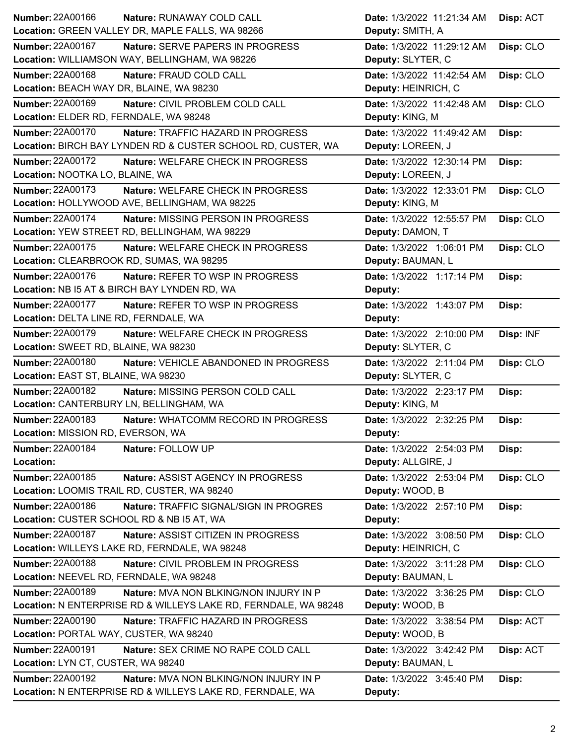|                                                                     | Date: 1/3/2022 11:21:34 AM<br>Disp: ACT |
|---------------------------------------------------------------------|-----------------------------------------|
| Location: GREEN VALLEY DR, MAPLE FALLS, WA 98266                    | Deputy: SMITH, A                        |
| <b>Number: 22A00167</b><br>Nature: SERVE PAPERS IN PROGRESS         | Disp: CLO<br>Date: 1/3/2022 11:29:12 AM |
| Location: WILLIAMSON WAY, BELLINGHAM, WA 98226                      | Deputy: SLYTER, C                       |
| <b>Number: 22A00168</b><br>Nature: FRAUD COLD CALL                  | Date: 1/3/2022 11:42:54 AM<br>Disp: CLO |
| Location: BEACH WAY DR, BLAINE, WA 98230                            | Deputy: HEINRICH, C                     |
| <b>Number: 22A00169</b><br>Nature: CIVIL PROBLEM COLD CALL          | Date: 1/3/2022 11:42:48 AM<br>Disp: CLO |
| Location: ELDER RD, FERNDALE, WA 98248                              | Deputy: KING, M                         |
| Number: 22A00170<br>Nature: TRAFFIC HAZARD IN PROGRESS              | Date: 1/3/2022 11:49:42 AM<br>Disp:     |
| Location: BIRCH BAY LYNDEN RD & CUSTER SCHOOL RD, CUSTER, WA        | Deputy: LOREEN, J                       |
| Number: 22A00172<br>Nature: WELFARE CHECK IN PROGRESS               | Date: 1/3/2022 12:30:14 PM<br>Disp:     |
| Location: NOOTKA LO, BLAINE, WA                                     | Deputy: LOREEN, J                       |
| Number: 22A00173<br>Nature: WELFARE CHECK IN PROGRESS               | Date: 1/3/2022 12:33:01 PM<br>Disp: CLO |
| Location: HOLLYWOOD AVE, BELLINGHAM, WA 98225                       | Deputy: KING, M                         |
| Number: 22A00174<br>Nature: MISSING PERSON IN PROGRESS              | Date: 1/3/2022 12:55:57 PM<br>Disp: CLO |
| Location: YEW STREET RD, BELLINGHAM, WA 98229                       | Deputy: DAMON, T                        |
| <b>Number: 22A00175</b><br><b>Nature: WELFARE CHECK IN PROGRESS</b> | Date: 1/3/2022 1:06:01 PM<br>Disp: CLO  |
| Location: CLEARBROOK RD, SUMAS, WA 98295                            | Deputy: BAUMAN, L                       |
| Number: 22A00176<br>Nature: REFER TO WSP IN PROGRESS                | Date: 1/3/2022 1:17:14 PM<br>Disp:      |
| Location: NB I5 AT & BIRCH BAY LYNDEN RD, WA                        | Deputy:                                 |
| <b>Number: 22A00177</b><br><b>Nature: REFER TO WSP IN PROGRESS</b>  | Date: 1/3/2022 1:43:07 PM<br>Disp:      |
| Location: DELTA LINE RD, FERNDALE, WA                               | Deputy:                                 |
| <b>Number: 22A00179</b><br>Nature: WELFARE CHECK IN PROGRESS        | Date: 1/3/2022 2:10:00 PM<br>Disp: INF  |
| Location: SWEET RD, BLAINE, WA 98230                                | Deputy: SLYTER, C                       |
| <b>Number: 22A00180</b><br>Nature: VEHICLE ABANDONED IN PROGRESS    | Date: 1/3/2022 2:11:04 PM<br>Disp: CLO  |
| Location: EAST ST, BLAINE, WA 98230                                 | Deputy: SLYTER, C                       |
|                                                                     |                                         |
| <b>Number: 22A00182</b><br>Nature: MISSING PERSON COLD CALL         | Date: 1/3/2022 2:23:17 PM<br>Disp:      |
| Location: CANTERBURY LN, BELLINGHAM, WA                             | Deputy: KING, M                         |
| Number: 22A00183<br>Nature: WHATCOMM RECORD IN PROGRESS             | Date: 1/3/2022 2:32:25 PM<br>Disp:      |
| Location: MISSION RD, EVERSON, WA                                   | <b>Deputy:</b>                          |
| <b>Number: 22A00184</b><br>Nature: FOLLOW UP                        | Date: 1/3/2022 2:54:03 PM<br>Disp:      |
| Location:                                                           | Deputy: ALLGIRE, J                      |
| Number: 22A00185<br>Nature: ASSIST AGENCY IN PROGRESS               | Date: 1/3/2022 2:53:04 PM<br>Disp: CLO  |
| Location: LOOMIS TRAIL RD, CUSTER, WA 98240                         | Deputy: WOOD, B                         |
| <b>Number: 22A00186</b><br>Nature: TRAFFIC SIGNAL/SIGN IN PROGRES   | Date: 1/3/2022 2:57:10 PM<br>Disp:      |
| Location: CUSTER SCHOOL RD & NB I5 AT, WA                           | Deputy:                                 |
| <b>Number: 22A00187</b><br>Nature: ASSIST CITIZEN IN PROGRESS       | Date: 1/3/2022 3:08:50 PM<br>Disp: CLO  |
| Location: WILLEYS LAKE RD, FERNDALE, WA 98248                       | Deputy: HEINRICH, C                     |
| Number: 22A00188<br>Nature: CIVIL PROBLEM IN PROGRESS               | Date: 1/3/2022 3:11:28 PM<br>Disp: CLO  |
| Location: NEEVEL RD, FERNDALE, WA 98248                             | Deputy: BAUMAN, L                       |
| <b>Number: 22A00189</b><br>Nature: MVA NON BLKING/NON INJURY IN P   | Date: 1/3/2022 3:36:25 PM<br>Disp: CLO  |
| Location: N ENTERPRISE RD & WILLEYS LAKE RD, FERNDALE, WA 98248     | Deputy: WOOD, B                         |
| Number: 22A00190<br>Nature: TRAFFIC HAZARD IN PROGRESS              | Date: 1/3/2022 3:38:54 PM<br>Disp: ACT  |
| Location: PORTAL WAY, CUSTER, WA 98240                              | Deputy: WOOD, B                         |
| <b>Number: 22A00191</b><br>Nature: SEX CRIME NO RAPE COLD CALL      | Date: 1/3/2022 3:42:42 PM<br>Disp: ACT  |
| Location: LYN CT, CUSTER, WA 98240                                  | Deputy: BAUMAN, L                       |
| <b>Number: 22A00192</b><br>Nature: MVA NON BLKING/NON INJURY IN P   | Date: 1/3/2022 3:45:40 PM<br>Disp:      |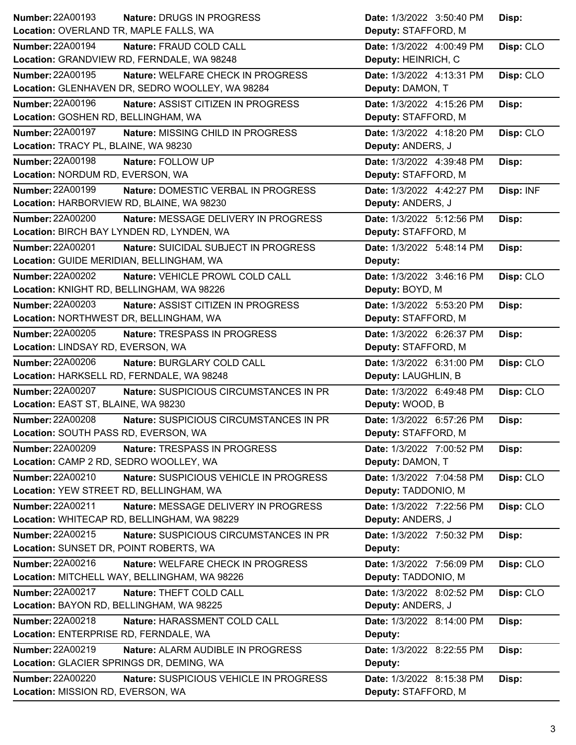| Number: 22A00193<br>Nature: DRUGS IN PROGRESS                     | Date: 1/3/2022 3:50:40 PM | Disp:     |
|-------------------------------------------------------------------|---------------------------|-----------|
| Location: OVERLAND TR, MAPLE FALLS, WA                            | Deputy: STAFFORD, M       |           |
| Number: 22A00194<br>Nature: FRAUD COLD CALL                       | Date: 1/3/2022 4:00:49 PM | Disp: CLO |
| Location: GRANDVIEW RD, FERNDALE, WA 98248                        | Deputy: HEINRICH, C       |           |
| <b>Number: 22A00195</b><br>Nature: WELFARE CHECK IN PROGRESS      | Date: 1/3/2022 4:13:31 PM | Disp: CLO |
| Location: GLENHAVEN DR, SEDRO WOOLLEY, WA 98284                   | Deputy: DAMON, T          |           |
| <b>Number: 22A00196</b><br>Nature: ASSIST CITIZEN IN PROGRESS     | Date: 1/3/2022 4:15:26 PM | Disp:     |
| Location: GOSHEN RD, BELLINGHAM, WA                               | Deputy: STAFFORD, M       |           |
| <b>Number: 22A00197</b><br>Nature: MISSING CHILD IN PROGRESS      | Date: 1/3/2022 4:18:20 PM | Disp: CLO |
| Location: TRACY PL, BLAINE, WA 98230                              | Deputy: ANDERS, J         |           |
| Number: 22A00198<br>Nature: FOLLOW UP                             | Date: 1/3/2022 4:39:48 PM | Disp:     |
| Location: NORDUM RD, EVERSON, WA                                  | Deputy: STAFFORD, M       |           |
| Number: 22A00199<br>Nature: DOMESTIC VERBAL IN PROGRESS           | Date: 1/3/2022 4:42:27 PM | Disp: INF |
| Location: HARBORVIEW RD, BLAINE, WA 98230                         | Deputy: ANDERS, J         |           |
| <b>Number: 22A00200</b><br>Nature: MESSAGE DELIVERY IN PROGRESS   | Date: 1/3/2022 5:12:56 PM | Disp:     |
| Location: BIRCH BAY LYNDEN RD, LYNDEN, WA                         | Deputy: STAFFORD, M       |           |
| <b>Number: 22A00201</b><br>Nature: SUICIDAL SUBJECT IN PROGRESS   | Date: 1/3/2022 5:48:14 PM | Disp:     |
| Location: GUIDE MERIDIAN, BELLINGHAM, WA                          | Deputy:                   |           |
| Number: 22A00202<br>Nature: VEHICLE PROWL COLD CALL               | Date: 1/3/2022 3:46:16 PM | Disp: CLO |
| Location: KNIGHT RD, BELLINGHAM, WA 98226                         | Deputy: BOYD, M           |           |
| <b>Number: 22A00203</b><br>Nature: ASSIST CITIZEN IN PROGRESS     | Date: 1/3/2022 5:53:20 PM | Disp:     |
| Location: NORTHWEST DR, BELLINGHAM, WA                            | Deputy: STAFFORD, M       |           |
| Number: 22A00205<br>Nature: TRESPASS IN PROGRESS                  | Date: 1/3/2022 6:26:37 PM | Disp:     |
| Location: LINDSAY RD, EVERSON, WA                                 | Deputy: STAFFORD, M       |           |
|                                                                   |                           |           |
| <b>Number: 22A00206</b><br>Nature: BURGLARY COLD CALL             | Date: 1/3/2022 6:31:00 PM | Disp: CLO |
| Location: HARKSELL RD, FERNDALE, WA 98248                         | Deputy: LAUGHLIN, B       |           |
| <b>Number: 22A00207</b><br>Nature: SUSPICIOUS CIRCUMSTANCES IN PR | Date: 1/3/2022 6:49:48 PM | Disp: CLO |
| Location: EAST ST, BLAINE, WA 98230                               | Deputy: WOOD, B           |           |
| <b>Number: 22A00208</b><br>Nature: SUSPICIOUS CIRCUMSTANCES IN PR | Date: 1/3/2022 6:57:26 PM | Disp:     |
| Location: SOUTH PASS RD, EVERSON, WA                              | Deputy: STAFFORD, M       |           |
| <b>Number: 22A00209</b><br>Nature: TRESPASS IN PROGRESS           | Date: 1/3/2022 7:00:52 PM | Disp:     |
| Location: CAMP 2 RD, SEDRO WOOLLEY, WA                            | Deputy: DAMON, T          |           |
| Number: 22A00210<br>Nature: SUSPICIOUS VEHICLE IN PROGRESS        | Date: 1/3/2022 7:04:58 PM | Disp: CLO |
| Location: YEW STREET RD, BELLINGHAM, WA                           | Deputy: TADDONIO, M       |           |
| <b>Number: 22A00211</b><br>Nature: MESSAGE DELIVERY IN PROGRESS   | Date: 1/3/2022 7:22:56 PM | Disp: CLO |
| Location: WHITECAP RD, BELLINGHAM, WA 98229                       | Deputy: ANDERS, J         |           |
| Number: 22A00215<br>Nature: SUSPICIOUS CIRCUMSTANCES IN PR        | Date: 1/3/2022 7:50:32 PM | Disp:     |
| Location: SUNSET DR, POINT ROBERTS, WA                            | Deputy:                   |           |
| Number: 22A00216<br>Nature: WELFARE CHECK IN PROGRESS             | Date: 1/3/2022 7:56:09 PM | Disp: CLO |
| Location: MITCHELL WAY, BELLINGHAM, WA 98226                      | Deputy: TADDONIO, M       |           |
| <b>Number: 22A00217</b><br>Nature: THEFT COLD CALL                | Date: 1/3/2022 8:02:52 PM | Disp: CLO |
| Location: BAYON RD, BELLINGHAM, WA 98225                          | Deputy: ANDERS, J         |           |
| Number: 22A00218<br>Nature: HARASSMENT COLD CALL                  | Date: 1/3/2022 8:14:00 PM | Disp:     |
| Location: ENTERPRISE RD, FERNDALE, WA                             | Deputy:                   |           |
| <b>Number: 22A00219</b><br>Nature: ALARM AUDIBLE IN PROGRESS      | Date: 1/3/2022 8:22:55 PM | Disp:     |
| Location: GLACIER SPRINGS DR, DEMING, WA                          | Deputy:                   |           |
| <b>Number: 22A00220</b><br>Nature: SUSPICIOUS VEHICLE IN PROGRESS | Date: 1/3/2022 8:15:38 PM | Disp:     |